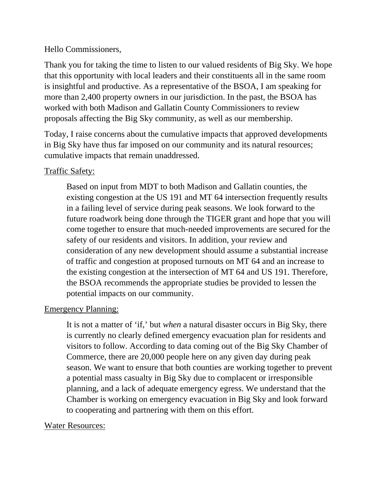#### Hello Commissioners,

Thank you for taking the time to listen to our valued residents of Big Sky. We hope that this opportunity with local leaders and their constituents all in the same room is insightful and productive. As a representative of the BSOA, I am speaking for more than 2,400 property owners in our jurisdiction. In the past, the BSOA has worked with both Madison and Gallatin County Commissioners to review proposals affecting the Big Sky community, as well as our membership.

Today, I raise concerns about the cumulative impacts that approved developments in Big Sky have thus far imposed on our community and its natural resources; cumulative impacts that remain unaddressed.

# Traffic Safety:

Based on input from MDT to both Madison and Gallatin counties, the existing congestion at the US 191 and MT 64 intersection frequently results in a failing level of service during peak seasons. We look forward to the future roadwork being done through the TIGER grant and hope that you will come together to ensure that much-needed improvements are secured for the safety of our residents and visitors. In addition, your review and consideration of any new development should assume a substantial increase of traffic and congestion at proposed turnouts on MT 64 and an increase to the existing congestion at the intersection of MT 64 and US 191. Therefore, the BSOA recommends the appropriate studies be provided to lessen the potential impacts on our community.

## Emergency Planning:

It is not a matter of 'if,' but *when* a natural disaster occurs in Big Sky, there is currently no clearly defined emergency evacuation plan for residents and visitors to follow. According to data coming out of the Big Sky Chamber of Commerce, there are 20,000 people here on any given day during peak season. We want to ensure that both counties are working together to prevent a potential mass casualty in Big Sky due to complacent or irresponsible planning, and a lack of adequate emergency egress. We understand that the Chamber is working on emergency evacuation in Big Sky and look forward to cooperating and partnering with them on this effort.

## Water Resources: